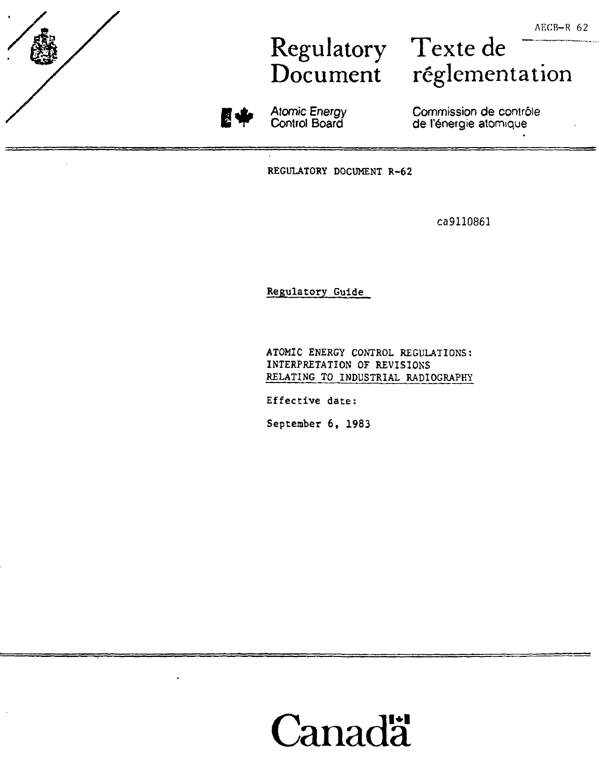## Regulatory Texte de

Document réglementation



Atomic Energy Control Board

Commission de contrôle de l'énergie atomique

REGULATORY DOCUMENT R-62

ca9110861

Regulatory Guide

ATOMIC ENERGY CONTROL REGULATIONS: INTERPRETATION OF REVISIONS RELATING TO INDUSTRIAL RADIOGRAPHY

Effective date:

September 6, 1983

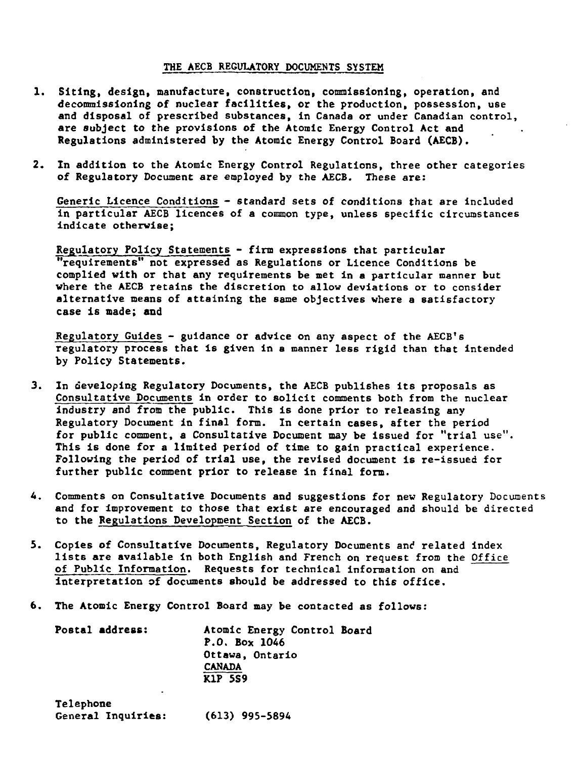### **THE AECB REGULATORY DOCUMENTS SYSTEM**

- **1. Siting, design, manufacture, construction, commissioning, operation, and decommissioning of nuclear facilities, or the production, possession, use and disposal of prescribed substances, in Canada or under Canadian control, are subject to the provisions of the Atomic Energy Control Act and Regulations administered by the Atomic Energy Control Board (AECB).**
- **2. In addition to the Atomic Energy Control Regulations, three other categories of Regulatory Document are employed by the AECB. These are:**

**Generic Licence Conditions - standard sets of conditions that are included in particular AECB licences of a common type, unless specific circumstances indicate otherwise;**

**Regulatory Policy Statements - firm expressions that particular "requirements" not expressed as Regulations or Licence Conditions be complied with or that any requirements be met in a particular manner but where the AECB retains the discretion to allow deviations or to consider alternative means of attaining the same objectives where a satisfactory case is made; and**

**Regulatory Guides - guidance or advice on any aspect of the AECB's regulatory process that Is given in a manner less rigid than that Intended by Policy Statements.**

- **3. In developing Regulatory Documents, the AECB publishes its proposals as Consultative Documents in order to solicit comments both from the nuclear industry and from the public. This is done prior to releasing any Regulatory Document in final form. In certain cases, after the period for public comment, a Consultative Document may be issued for "trial use". This is done for a limited period of time to gain practical experience. Following the period of trial use, the revised document is re-issued for further public comment prior to release in final form.**
- **it. Comments on Consultative Documents and suggestions for new Regulatory Documents and for improvement to those that exist are encouraged and should be directed to the Regulations Development Section of the AECB.**
- **5. Copies of Consultative Documents, Regulatory Documents and related index lists are available In both English and French on request from the Office of Public Information. Requests for technical information on and interpretation of documents should be addressed to this office.**
- **6. The Atomic Energy Control Board may be contacted as follows:**

**Postal address: Atomic Energy Control Board P.O. Box 1046 Ottawa, Ontario CANADA KIP 5S9**

**Telephone General Inquiries: (613) 995-5894**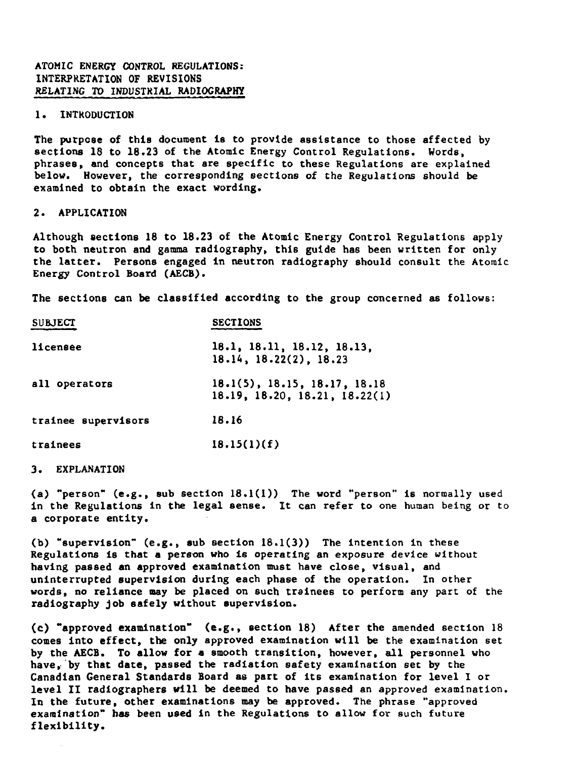### **ATOMIC ENERGY CONTROL REGULATIONS: INTERPRETATION OF REVISIONS RELATING TO INDUSTRIAL RADIOGRAPHY**

### **1. INTRODUCTION**

**The purpose of this document Is to provide assistance to those affected by sections 18 to 18.23 of the Atomic Energy Control Regulations. Words, phrases, and concepts that are specific to these Regulations are explained below. However, the corresponding sections of the Regulations should be examined to obtain the exact wording.**

### **2. APPLICATION**

**Although sections 18 to 18.23 of the Atomic Energy Control Regulations apply to both neutron and gamma radiography, this guide has been written for only the latter. Persons engaged in neutron radiography should consult the Atomic Energy Control Board (AECB).**

**The sections can be classified according to the group concerned as follows:**

| <b>SUBJECT</b>      | <b>SECTIONS</b>                                               |
|---------------------|---------------------------------------------------------------|
| licensee            | 18.1, 18.11, 18.12, 18.13.<br>18.14, 18.22(2), 18.23          |
| all operators       | 18.1(5), 18.15, 18.17, 18.18<br>18.19, 18.20, 18.21, 18.22(1) |
| trainee supervisors | 18.16                                                         |
| trainees            | 18.15(1)(f)                                                   |

#### 3. EXPLANATION

**(a) "person" (e.g., sub section 18.1(1)) The word "person" i& normally used in the Regulations in the legal sense. It can refer to one human being or to a corporate entity.**

**(b) "supervision" (e.g., sub section 18.1(3)) The intention in these Regulations Is that a person who is operating an exposure device without having passed an approved examination must have close, visual, and uninterrupted supervision during each phase of the operation. In other words, no reliance may be placed on such trainees to perform any part of the radiography job safely without supervision.**

**(c) "approved examination" (e.g., section 18) After the amended section 18 comes Into effect, the only approved examination will be the examination set by the AECB. To allow for a smooth transition, however, all personnel who have, by that date, passed the radiation safety examination set by the Canadian General Standards Board as part of its examination for level I or level II radiographers will be deemed to have passed an approved examination. In the future, other examinations may be approved. The phrase "approved examination" has been used in the Regulations to allow for such future flexibility.**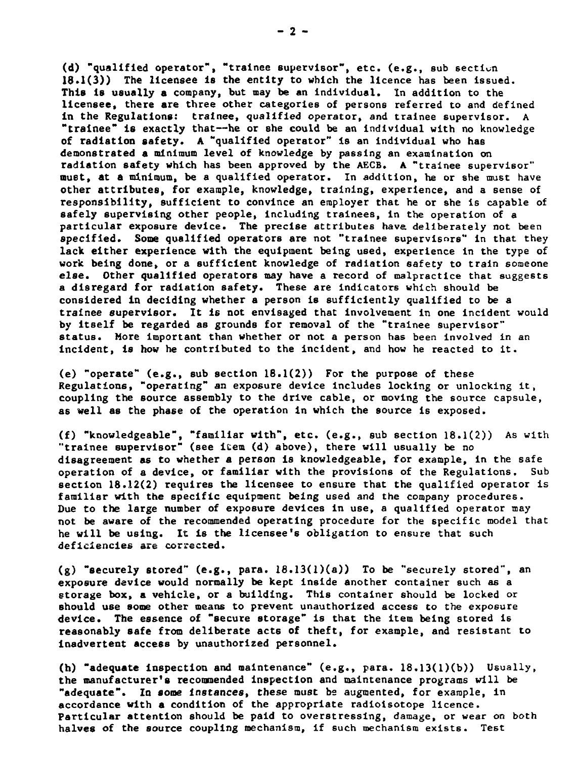**(d) "qualified operator", "trainee supervisor", etc. (e.g., sub section 18.1(3)) The licensee is the entity to which the licence has been issued. This is usually a company, but may be an individual. In addition to the licensee, there are three other categories of persons referred to and defined in the Regulations: trainee, qualified operator, and trainee supervisor. A "trainee" is exactly that—he or she could be an Individual with no knowledge of radiation safety. A "qualified operator" is an individual who has demonstrated a minimum level of knowledge by passing an examination on radiation safety which has been approved by the AECB. A "trainee supervisor" muet, at a minimum, be a qualified operator. In addition, he or she must have other attributes, for example, knowledge, training, experience, and a sense of responsibility, sufficient to convince an employer that he or she Is capable of safely supervising other people, including trainees, in the operation of a particular exposure device. The precise attributes have deliberately not been specified. Some qualified operators are not "trainee supervisors" in that they lack either experience with the equipment being used, experience in the type of work being done, or a sufficient knowledge of radiation safety to train someone else. Other qualified operators may have a record of malpractice that suggests a disregard for radiation safety. These are indicators which should be considered in deciding whether a person Is sufficiently qualified to be a trainee supervisor. It 16 not envisaged that involvement in one incident would by itself be regarded as grounds for removal of the "trainee supervisor" status. More Important than whether or not a person has been involved in an incident, is how he contributed to the incident, and how he reacted to it.**

**(e) "operate" (e.g., sub section 18.1(2)) For the purpose of these Regulations, "operating" an exposure device Includes locking or unlocking it, coupling the source assembly to the drive cable, or moving the source capsule, as well as the phase of the operation in which the source is exposed.**

**(£) "knowledgeable", "familiar with", etc. (e.g., sub section 18.1(2)) As with "trainee supervisor" (see item (d) above), there will usually be no disagreement as to whether a person is knowledgeable, for example, in the safe operation of a device, or familiar with the provisions of the Regulations. Sub section 18.12(2) requires the licensee to ensure that the qualified operator is familiar with the specific equipment being used and the company procedures. Due to the large number of exposure devices in use, a qualified operator may not be aware of the recommended operating procedure for the specific model that he will be using. It is the licensee's obligation to ensure that such deficiencies are corrected.**

**(g) "securely stored" (e.g., para. 18.13(l)(a)) To be "securely stored", an exposure device would normally be kept inside another container such as a storage box, a vehicle, or a building. This container should be locked or should use some other means to prevent unauthorized access to the exposure device. The essence of "secure storage" is that the item being stored Is reasonably safe from deliberate act6 of theft, for example, and resistant to inadvertent access by unauthorized personnel.**

**(h) "adequate inspection and maintenance" (e.g., para. 18.13(l)(b)) Usually, the manufacturer's recommended inspection and maintenance programs will be "adequate". In some Instances, these must be augmented, for example, in accordance with a condition of the appropriate radiolsotope licence. Particular attention should be paid to overstressing, damage, or wear on both halves of the source coupling mechanism, if such mechanism exists. Test**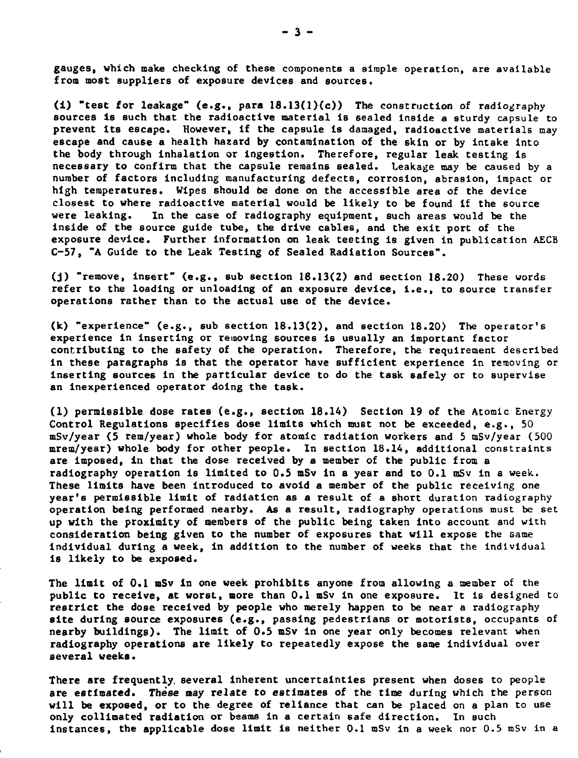**gauges, which make checking of these components a simple operation, are available from most suppliers of exposure devices and sources.**

**(i) "test for leakage" (e.g., para 18.13(l)(c)) The construction of radiography sources Is such that the radioactive material is sealed Inside a sturdy capsule to prevent its escape. However, if the capsule is damaged, radioactive materials may escape and cause a health hazard by contamination of the 6kIn or by intake Into the body through inhalation or ingestion. Therefore, regular leak testing is necessary to confirm that the capsule remains sealed. Leakage may be caused by a number of factors including manufacturing defects, corrosion, abrasion, impact or high temperatures. Wipes should be done on the accessible area of the device closest to where radioactive material would be likely to be found if the source were leaking. In the case of radiography equipment, such areas would be the inside of the source guide tube, the drive cables, and the exit port of the exposure device. Further information on leak testing is given In publication AECB C-57, "A Guide to the Leak Testing of Sealed Radiation Sources".**

**(j) "remove, insert" (e.g., sub section 18.13(2) and section 18.20) These words refer to the loading or unloading of an exposure device, i.e., to source transfer operations rather than to the actual use of the device.**

**(k) "experience" (e.g., sub section 18.13(2), and section 18.20) The operator's experience in Inserting or removing sources is usually an Important factor contributing to the safety of the operation. Therefore, the requirement described in these paragraphs is that the operator have sufficient experience in removing or Inserting sources in the particular device to do the task safely or to supervise an inexperienced operator doing the task.**

**(1) permissible dose rates (e.g., section 18.14) Section 19 of the Atomic Energy Control Regulations specifies dose limits which must not be exceeded, e.g., SO mSv/year (5 rem/year) whole body for atomic radiation workers and 5 mSv/year (500 mrem/year) whole body for other people. In section 18.14, additional constraints are Imposed, in that the dose received by a member of the public from a radiography operation is limited to 0.5 mSv in a year and to 0.1 mSv in a week.. These limits have been introduced to avoid a member of the public receiving one year's permissible limit of radiation as a result of a short duration radiography operation being performed nearby. As a result, radiography operations must be set up with the proximity of members of the public being taken into account and with consideration being given to the number of exposures that will expose the same individual during a week, in addition to the number of weeks that the Individual is likely to be exposed.**

**The limit of 0.1 mSv in one week prohibits anyone from allowing a member of the public to receive, at worst, more than 0.1 mSv in one exposure. It is designed to restrict the dose received by people who merely happen to be near a radiography site during source exposures (e.g., passing pedestrians or motorists, occupants of nearby buildings). The limit of 0.5 mSv in one year only becomes relevant when radiography operations are likely to repeatedly expose the same individual over several weeks.**

**There are frequently, several inherent uncertainties present when doses to people are estimated. These may relate to estimates of the time during which the person will be exposed, or to the degree of reliance that can be placed on a plan to use only colllmated radiation or beams in a certain 6afe direction. In Buch Instances, the applicable dose limit is neither 0.1 mSv in a week nor 0.5 mSv in a**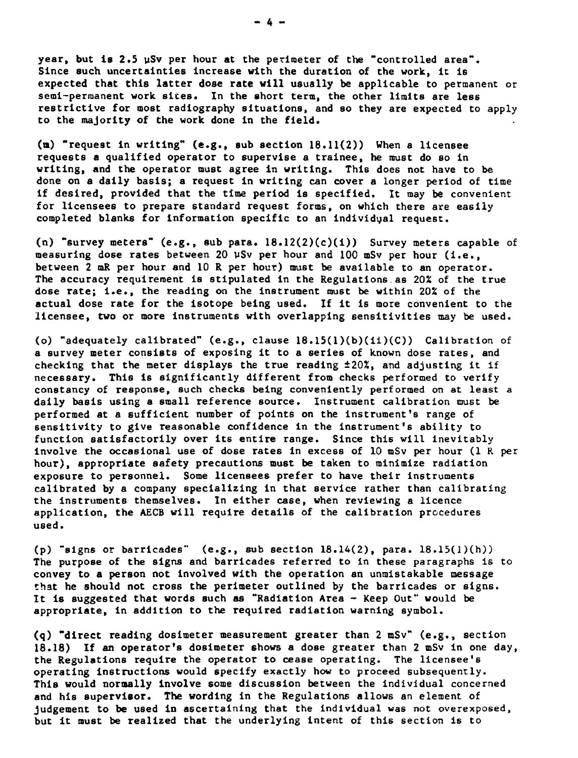**year, but 1B 2.5 uSv per hour at the perimeter of the "controlled area".** Since such uncertainties increase with the duration of the work, it is **expected that this latter dose rate will usually be applicable to permanent or semi-permanent work sites. In the short term, the other limits are less restrictive for most radiography situations, and so they are expected to apply to the majority of the work done In the field.**

**(a) "request in writing" (e.g., sub section 18.11(2)) When a licensee requests a qualified operator to supervise a trainee, he must do so in writing, and the operator must agree in writing. This does not have to be done on a daily basis; a request in writing can cover a longer period of time if desired, provided that the time period is specified. It may be convenient for licensees to prepare standard request forms, on which there are easily completed blanks for information specific to an individual request.**

**(n) "survey meters" (e.g., sub para. 18.12(2)(c)(i)) Survey meters capable of measuring dose rates between 20 vSv per hour and 100 mSv per hour (i.e., between 2 mR per hour and 10 R per hour) must be available to an operator. The accuracy requirement is stipulated in the Regulations as 202 of the true dose rate; i.e., the reading on the instrument must be within 20% of the actual dose rate for the isotope being used. If it is more convenient to the licensee, two or more instruments with overlapping sensitivities may be used.**

**(o) "adequately calibrated" (e.g., clause 18.15(1)(b)(il)(C)) Calibration of a survey meter consists of exposing it to a series of known dose rates, and checking that the meter displays the true reading ±20X, and adjusting it if necessary. This is significantly different from checks performed to verify constancy of response, such checks being conveniently performed on at least a daily basis using a small reference source. Instrument calibration must be performed at a sufficient number of points on the instrument's range of sensitivity to give reasonable confidence in the instrument's ability to function satisfactorily over its entire range. Since this will inevitably involve the occasional use of dose rates in excess of 10 mSv per hour (1 R per hour), appropriate safety precautions must be taken to minimize radiation exposure to personnel. Some licensees prefer to have their Instruments calibrated by a company specializing in that service rather than calibrating the instruments themselves. In either case, when reviewing a licence application, the AECB will require details of the calibration procedures used.**

**(p) "signs or barricades" (e.g., sub section 18.14(2), para. 18.15(l)(h)) The purpose of the signs and barricades referred to in these paragraphs is to convey to a person not involved with the operation an unmistakable message that he should not cross the perimeter outlined by the barricades or signs. It Is suggested that words such as "Radiation Area - Keep Out" would be appropriate, in addition to the required radiation warning symbol.**

**(q) "direct reading dosimeter measurement greater than 2 mSv" (e.g., section 18.18) If an operator's dosimeter shows a dose greater than 2 mSv in one day, the Regulations require the operator to cease operating. The licensee's operating Instructions would specify exactly how to proceed subsequently. This would normally Involve some discussion between the individual concerned and his supervisor. The wording In the Regulations allows an element of judgement to be used in ascertaining that the individual was not overexposed, but it must be realized that the underlying Intent of this section is to**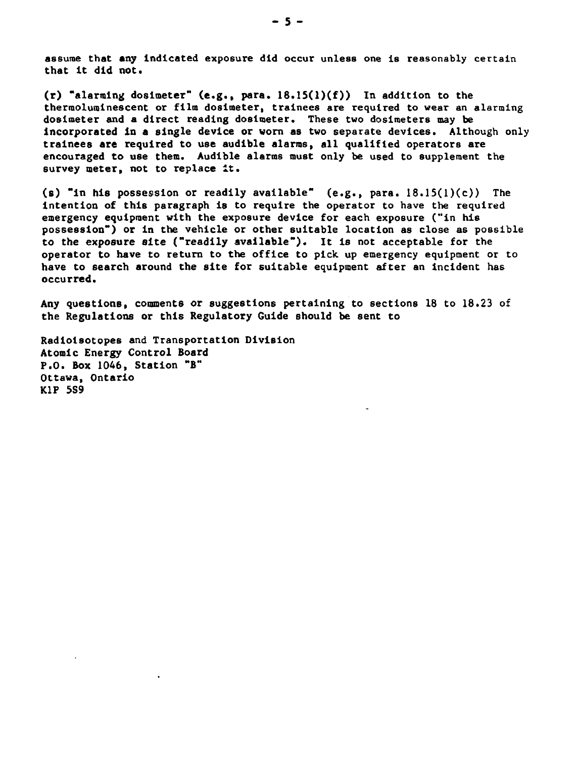**assume that any indicated exposure did occur unless one Is reasonably certain that It did not.**

**(r) "alarming dosimeter" (e.g., para. 18.15(l)(f)) In addition to the thermoluminescent or film dosimeter, trainees are required to wear an alarming dosimeter and a direct reading dosimeter. These two dosimeters may be incorporated in a single device or worn as two separate devices. Although only trainees are required to use audible alarms, all qualified operators are encouraged to use them. Audible alarms must only be used to supplement the survey meter, not to replace it.**

**(s) "in his possession or readily available" (e.g., para. 18.15(l)(c)) The intention of this paragraph is to require the operator to have the required emergency equipment with the exposure device for each exposure ("in his possession") or in the vehicle or other suitable location as close as possible to the exposure site ("readily available"). It is not acceptable for the operator to have to return to the office to pick up emergency equipment or to have to search around the site for suitable equipment after an incident has occurred.**

**Any questions, comments or suggestions pertaining to sections 18 to 18.23 of the Regulations or this Regulatory Guide should be sent to**

**Radiolsotopes and Transportation Division Atomic Energy Control Board P.O. Box 1046, Station "B" Ottawa, Ontario KIP 5S9**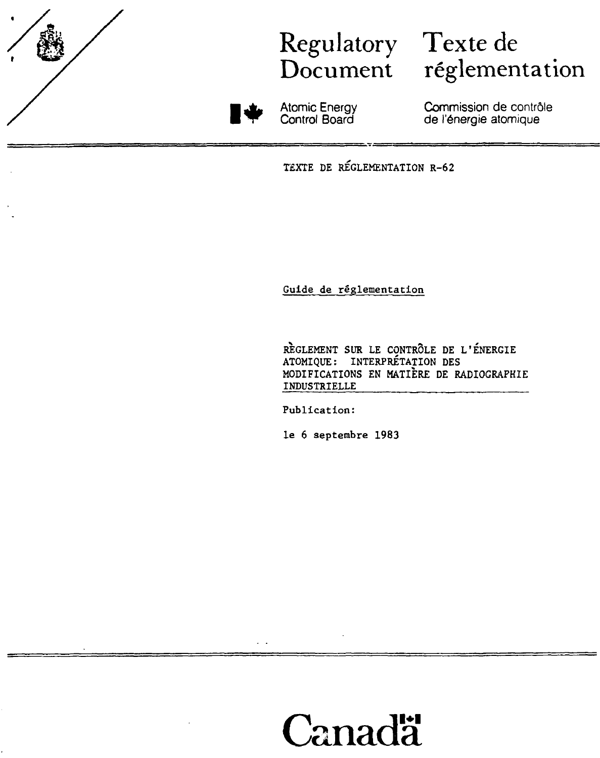

## Regulatory Texte de

# Document réglementation



Atomic Energy Control Board

Commission de contrôle de l'énergie atomique

TEXTE DE REGLEMENTATION R-62

Guide de réglementation

RÈGLEMENT SUR LE CONTRÔLE DE L'ENERGIE ATOMIQUE: INTERPRÉTATION DES MODIFICATIONS EN MATIÈRE DE RADIOGRAPHIE INDUSTRIELLE

Publication:

le 6 septembre 1983

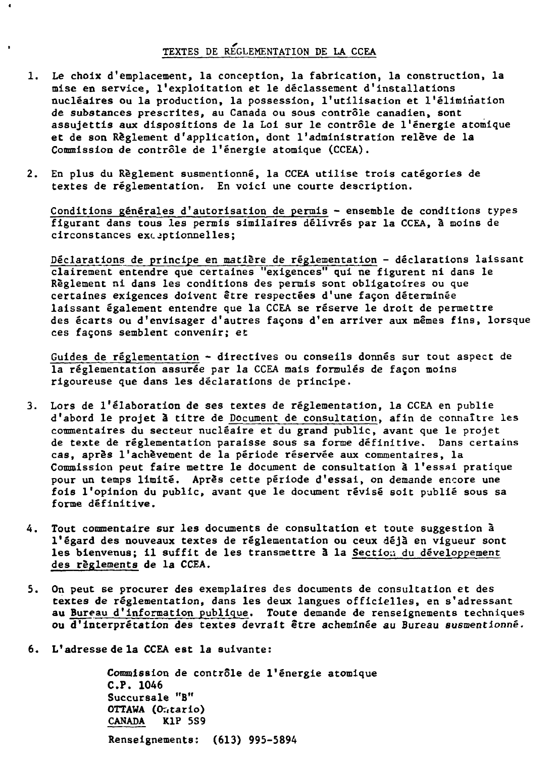## **TEXTES DE REGLEMENTATION DE LA CCEA**

 $\blacksquare$ 

- **1. Le choix d'emplacement, la conception, la fabrication, la construction, la mise en service, l'exploitation et le déclassement d'installations nucléaires ou la production, la possession, l'utilisation et l'élimination de substances prescrites, au Canada ou sous contrôle canadien, sont assujettis aux dispositions de la Loi sur le contrôle de l'énergie atomique et de son Règlement d'application, dont l'administration relève de la Commission de contrôle de l'énergie atomique (CCEA).**
- **2. En plus du Règlement susmentionné, la CCEA utilise trois catégories de textes de réglementation. En voici une courte description.**

**Conditions générales d'autorisation de permis - ensemble de conditions types figurant dans tous les permis similaires délivrés par la CCEA, à moins de circonstances exceptionnelles;**

**Déclarations de principe en matière de réglementation - déclarations laissant clairement entendre que certaines "exigences" qui ne figurent ni dans le Règlement ni dans les conditions des permis sont obligatoires ou que certaines exigences doivent être respectées d'une façon déterminée laissant également entendre que la CCEA se réserve le droit de permettre des écarts ou d'envisager d'autres façons d'en arriver aux mêmes fins, lorsque ces façons semblent convenir; et**

**Guides de réglementation - directives ou conseils donnés sur tout aspect de la réglementation assurée par la CCEA mais formulés de façon moins rigoureuse que dans les déclarations de principe.**

- **3. Lors de l'élaboration de ses textes de réglementation, la CCEA en publie d'abord le projet à titre de Document de consultation, afin de connaître les commentaires du secteur nucléaire et du grand public, avant que le projet de texte de réglementation paraisse sous sa forme définitive. Dans certains cas, après l'achèvement de la période réservée aux commentaires, la Commission peut faire mettre le document de consultation à l'essai pratique pour un temps limité. Après cette période d'essai, on demande encore une fois l'opinion du public, avant que le document révisé soit publié sous sa forme définitive.**
- **4. Tout commentaire sur les documents de consultation et toute suggestion à l'égard des nouveaux textes de réglementation ou ceux déjà en vigueur sont** les bienvenus; il suffit de les transmettre à la Section du développement **des règlements de la CCEA.**
- **5. On peut se procurer des exemplaires des documents de consultation et des textes de réglementation, dans les deux langues officielles, en s'adressant au Bureau d'information publique. Toute demande de renseignements techniques ou d'interprétation des textes devrait être acheminée au Bureau susmentionné.**
- **6. L'adresse de la CCEA est la suivante:**

**Commission de contrôle de l'énergie atomique C.P. 1046 Succursale "B" OTTAWA (Or«tario) CANADA KIP 5S9 Renseignements: (613) 995-5894**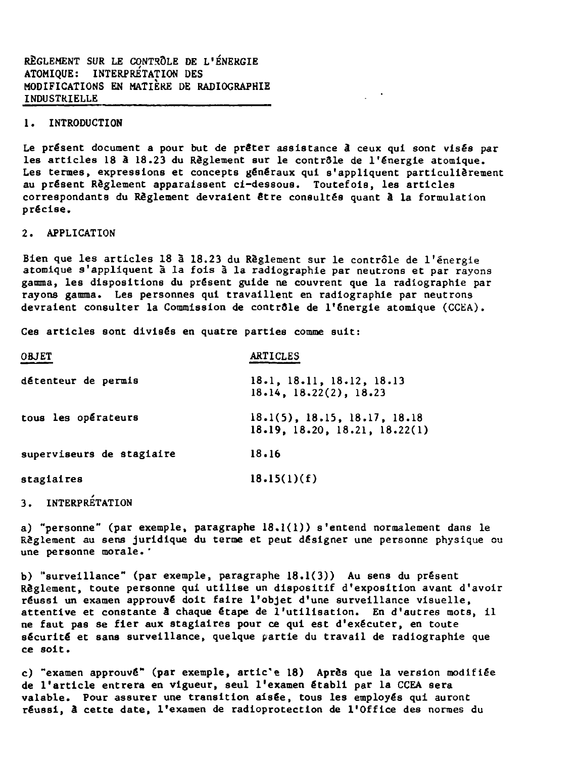**RÈGLEMENT SUR LE CONTRÔLE DE L'ÉNERGIE ATOMIQUE: INTERPRETATION DES MODIFICATIONS EN MATIÈRE DE RADIOGRAPHIE INDUSTRIELLE**

### **1. INTRODUCTION**

**Le présent document a pour but de prêter assistance à ceux qui sont visés par les articles 18 â 18.23 du Règlement sur le contrôle de l'énergie atomique. Les termes, expressions et concepts généraux qui s'appliquent particulièrement au présent Règlement apparaissent ci-dessous. Toutefois, les articles correspondants du Règlement devraient être consultés quant à la formulation précise.**

### **2. APPLICATION**

**Bien que les articles 18 à 18.23 du Règlement sur le contrôle de l'énergie atomique s'appliquent à la fois à la radiographie par neutrons et par rayons gamma, les dispositions du présent guide ne couvrent que la radiographie par rayons gamma. Les personnes qui travaillent en radiographie par neutrons devraient consulter la Commission de contrôle de l'énergie atomique (CCEA).**

**Ces articles sont divisés en quatre parties comme suit:**

| <b>OBJET</b>              | <b>ARTICLES</b>                                                  |
|---------------------------|------------------------------------------------------------------|
| détenteur de permis       | 18.1, 18.11, 18.12, 18.13<br>18.14, 18.22(2), 18.23              |
| tous les opérateurs       | $18.1(5)$ , 18.15, 18.17, 18.18<br>18.19, 18.20, 18.21, 18.22(1) |
| superviseurs de stagiaire | 18.16                                                            |
| stagiaires                | 18.15(1)(f)                                                      |

## **3. INTERPRÉTATION**

**a) "personne" (par exemple, paragraphe 18.1(1)) s'entend normalement dans le Règlement au sens juridique du terme et peut désigner une personne physique ou une personne morale.'**

**b) "surveillance" (par exemple, paragraphe 18.1(3)) Au sens du présent Règlement, toute personne qui utilise un dispositif d'exposition avant d'avoir réussi un examen approuvé doit faire l'objet d'une surveillance visuelle, attentive et constante â chaque étape de l'utilisation. En d'autres mots, il ne faut pas se fier aux stagiaires pour ce qui est d'exécuter, en toute sécurité et sans surveillance, quelque partie du travail de radiographie que ce soi t.**

**c) "examen approuvé" (par exemple, artic'e 18) Après que la version modifiée de l'article entrera en vigueur, seul l'examen établi par la CCEA sera valable. Pour assurer une transition aisée, tous les employés qui auront réussi, â cette date, l'examen de radioprotectlon de l'Office des normes du**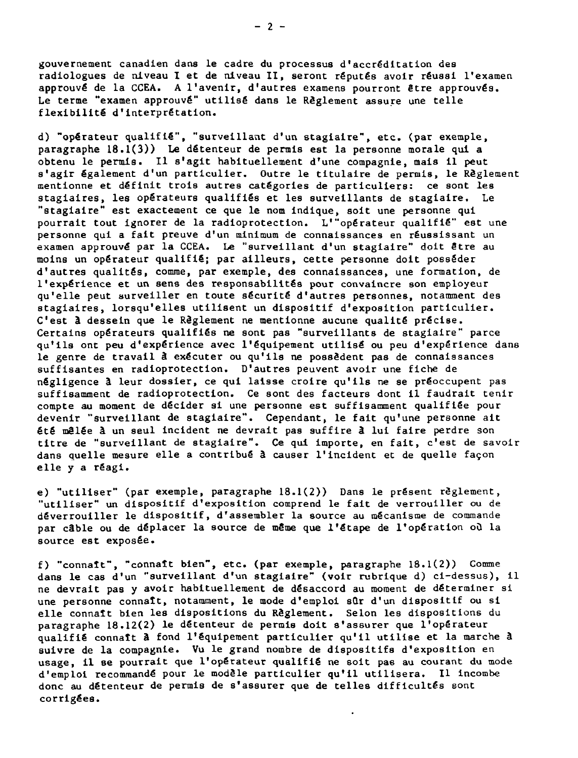gouvernement canadien dans le cadre du processus d'accréditation des radiologues de niveau I et de niveau II, seront réputés avoir réussi l'examen approuvé de la CCEA. A l'avenir, d'autres examens pourront être approuvés. Le terme "examen approuvé" utilisé dans le Règlement assure une telle flexibilité d'interprétation.

d) "opérateur qualifié", "surveillant d'un stagiaire", etc. (par exemple, paragraphe 18.1(3)) Le détenteur de permis est la personne morale qui a obtenu le permis. Il s'agit habituellement d'une compagnie, mais il peut s'agir également d'un particulier. Outre le titulaire de permis, le Règlement mentionne et définit trois autres catégories de particuliers: ce sont les stagiaires, les opérateurs qualifiés et les surveillants de stagiaire. Le "stagiaire" est exactement ce que le nom indique, soit une personne qui pourrait tout ignorer de la radioprotection. L'"opérateur qualifié" est une personne qui a fait preuve d'un minimum de connaissances en réussissant un examen approuvé par la CCEA. Le "surveillant d'un stagiaire" doit être au moins un opérateur qualifié; par ailleurs, cette personne doit posséder d'autres qualités, comme, par exemple, des connaissances, une formation, de l'expérience et un sens des responsabilités pour convaincre son employeur qu'elle peut surveiller en toute sécurité d'autres personnes, notamment des stagiaires, lorsqu'elles utilisent un dispositif d'exposition particulier. C'est à dessein que le Règlement ne mentionne aucune qualité précise. Certains opérateurs qualifiés ne sont pas "surveillants de stagiaire" parce qu'ils ont peu d'expérience avec l'équipement utilisé ou peu d'expérience dans le genre de travail à exécuter ou qu'ils ne possèdent pas de connaissances suffisantes en radioprotection. D'autres peuvent avoir une fiche de négligence â leur dossier, ce qui laisse croire qu'ils ne se préoccupent pas suffisamment de radioprotection. Ce sont des facteurs dont il faudrait tenir compte au moment de décider si une personne est suffisamment qualifiée pour devenir "surveillant de stagiaire". Cependant, le fait qu'une personne ait été mêlée à un seul incident ne devrait pas suffire â lui faire perdre son titre de "surveillant de stagiaire". Ce qui importe, en fait, c'est de savoir dans quelle mesure elle a contribué à causer l'incident et de quelle façon elle y a réagi.

e) "utiliser" (par exemple, paragraphe 18.1(2)) Dans le présent règlement, "utiliser" un dispositif d'exposition comprend le fait de verrouiller ou de déverrouiller le dispositif, d'assembler la source au mécanisme de commande par câble ou de déplacer la source de même que l'étape de l'opération où la source est exposée.

f) "connaît", "connaît bien", etc. (par exemple, paragraphe 18.1(2)) Comme dans le cas d'un "surveillant d'un stagiaire" (voir rubrique d) ci-dessus), il ne devrait pas y avoir habituellement de désaccord au moment de déterminer si une personne connaît, notamment, le mode d'emploi sQr d'un dispositif ou si elle connaît bien les dispositions du Règlement. Selon les dispositions du paragraphe 18.12(2) le détenteur de permis doit s'assurer que l'opérateur qualifié connaît â fond l'équipement particulier qu'il utilise et la marche â suivre de la compagnie. Vu le grand nombre de dispositifs d'exposition en usage, il se pourrait que l'opérateur qualifié ne soit pas au courant du mode d'emploi recommandé pour le modèle particulier qu'il utilisera. Il incombe donc au détenteur de permis de s'assurer que de telles difficultés sont corrigées.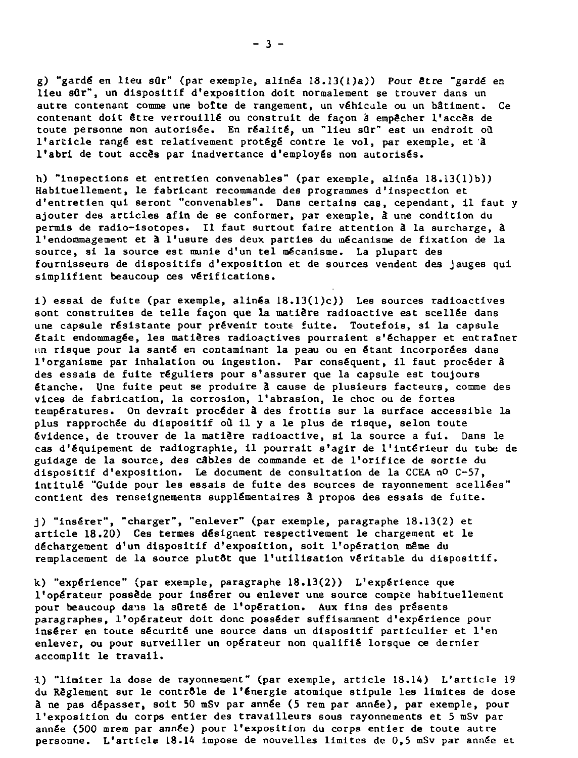g) "gardé en lieu sûr" (par exemple, alinéa 18.13(1)a)) Pour être "gardé en lieu sûr", un dispositif d'exposition doit normalement se trouver dans un autre contenant comme une botte de rangement, un véhicule ou un bâtiment. Ce contenant doit être verrouillé ou construit de façon & empêcher l'accès de toute personne non autorisée. En réalité, un "lieu sûr" est un endroit où l'article rangé est relativement protégé contre le vol, par exemple, et â l'abri de tout accès par inadvertance d'employés non autorisés.

h) "inspections et entretien convenables" (par exemple, alinéa 18.13(l)b)) Habituellement, le fabricant recommande des programmes d'inspection et d'entretien qui seront "convenables". Dans certains cas, cependant, il faut y ajouter des articles afin de se conformer, par exemple, à une condition du permis de radio-isotopes. Il faut surtout faire attention à la surcharge, à l'endommagement et à l'usure des deux parties du mécanisme de fixation de la source, si la source est munie d'un tel mécanisme. La plupart des fournisseurs de dispositifs d'exposition et de sources vendent des jauges qui simplifient beaucoup ces vérifications.

i) essai de fuite (par exemple, alinéa 18.13(l)c)) Les sources radioactives sont construites de telle façon que la matière radioactive est scellée dans une capsule résistante pour prévenir toute fuite. Toutefois, si la capsule était endommagée, les matières radioactives pourraient s'échapper et entraîner un risque pour la santé en contaminant la peau ou en étant incorporées dans l'organisme par inhalation ou ingestion. Par conséquent, il faut procéder à des essais de fuite réguliers pour s'assurer que la capsule est toujours étanche. Une fuite peut se produire â cause de plusieurs facteurs, comme des vices de fabrication, la corrosion, l'abrasion, le choc ou de fortes températures. On devrait procéder â des frottis sur la surface accessible la plus rapprochée du dispositif où il y a le plus de risque, selon toute évidence, de trouver de la matière radioactive, si la source a fui. Dans le cas d'équipement de radiographie, il pourrait s'agir de l'intérieur du tube de guidage de la source, des câbles de commande et de l'orifice de sortie du dispositif d'exposition. Le document de consultation de la CCEA nO C-57, intitulé "Guide pour les essais de fuite des sources de rayonnement scellées" contient des renseignements supplémentaires â propos des essais de fuite.

j) "insérer", "charger", "enlever" (par exemple, paragraphe 18.13(2) et article 18.20) Ces termes désignent respectivement le chargement et le déchargement d'un dispositif d'exposition, soit l'opération même du remplacement de la source plutôt que l'utilisation véritable du dispositif.

k) "expérience" (par exemple, paragraphe 18.13(2)) L'expérience que l'opérateur possède pour insérer ou enlever une source compte habituellement pour beaucoup dans la sûreté de l'opération. Aux fins des présents paragraphes, l'opérateur doit donc posséder suffisamment d'expérience pour Insérer en toute sécurité une source dans un dispositif particulier et l'en enlever, ou pour surveiller un opérateur non qualifié lorsque ce dernier accomplit le travail.

•1) "limiter la dose de rayonnement" (par exemple, article 18.14) L'article 19 du Règlement sur le contrôle de l'énergie atomique stipule les limites de dose â ne pas dépasser, soit 50 mSv par année (5 rem par année), par exemple, pour 1'exposition du corps entier des travailleurs sous rayonnements et 5 mSv par année (500 mrem par année) pour l'exposition du corps entier de toute autre personne. L'article 18.14 impose de nouvelles limites de 0,5 mSv par année et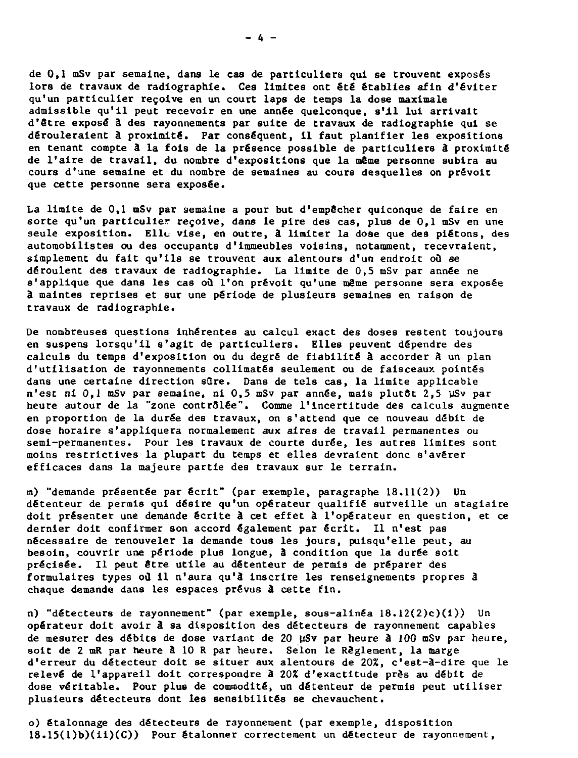**de 0,1 mSv par semaine, dans le cas de particuliers qui se trouvent exposés lors de travaux de radiographie. Ces limites ont été établies afin d'éviter qu'un particulier reçoive en un court laps de temps la dose maximale admissible qu'il peut recevoir en une année quelconque, s'il lui arrivait d'être exposé â des rayonnements par suite de travaux de radiographie qui se dérouleraient à proximité. Par conséquent, il faut planifier les expositions en tenant compte à la fois de la présence possible de particuliers â proximité de l'aire de travail, du nombre d'expositions que la même personne subira au cours d'une semaine et du nombre de semaines au cours desquelles on prévoit que cette personne sera exposée.**

**La limite de 0,1 mSv par semaine a pour but d'empêcher quiconque de faire en sorte qu'un particulier reçoive, dans le pire des cas, plus de 0,1 mSv en une seule exposition. Elle vise, en outre, â limiter la dose que des piétons, des automobilistes ou des occupants d'immeubles voisins, notamment, recevraient, simplement du fait qu'ils se trouvent aux alentours d'un endroit où se déroulent des travaux de radiographie. La limite de 0,5 mSv par année ne s'applique que dans les cas où l'on prévoit qu'une même personne sera exposée à maintes reprises et sur une période de plusieurs semaines en raison de travaux de radiographie.**

**De nombreuses questions inhérentes au calcul exact des doses restent toujours en suspens lorsqu'il s'agit de particuliers. Elles peuvent dépendre des calculs du temps d'exposition ou du degré de fiabilité à accorder à un plan d'utilisation de rayonnements collimatés seulement ou de faisceaux pointés dans une certaine direction sOre. Dans de tels cas, la limite applicable n'est ni 0,1 mSv par semaine, ni 0,5 mSv par année, mais plutdt 2,5 ySv par heure autour de la "zone contrôlée". Comme l'incertitude des calculs augmente en proportion de la durée des travaux, on s'attend que ce nouveau débit de dose horaire s'appliquera normalement aux aires de travail permanentes ou semi-permanentes. Pour les travaux de courte durée, les autres limites sont moins restrictives la plupart du temps et elles devraient donc s'avérer efficaces dans la majeure partie des travaux sur le terrain.**

**m) "demande présentée par écrit" (par exemple, paragraphe 18.11(2)) Un détenteur de permis qui désire qu'un opérateur qualifié surveille un stagiaire doit présenter une demande écrite à cet effet à l'opérateur en question, et ce dernier doit confirmer son accord également par écrit. Il n'est pas nécessaire de renouveler la demande tous les jours, puisqu'elle peut, au besoin, couvrir une période plus longue, â condition que la durée soit précisée. Il peut être utile au détenteur de permis de préparer des formulaires types où il n'aura qu'à Inscrire les renseignements propres â chaque demande dans les espaces prévus à cette fin.**

**n) "détecteurs de rayonnement" (par exemple, sous-alinéa 18.12(2)c)(i)) Un opérateur doit avoir â sa disposition des détecteurs de rayonnement capables de mesurer des débits de dose variant de 20 MSv par heure â 100 mSv par heure, soit de 2 mR par heure â 10 R par heure. Selon le Règlement, la marge d'erreur du détecteur doit se situer aux alentours de 20%, c'est-à-dire que le relevé de l'appareil doit correspondre â 202 d'exactitude près au débit de dose véritable. Pour plus de commodité, un détenteur de permis peut utiliser plusieurs détecteurs dont les sensibilités se chevauchent.**

**o) étalonnage des détecteurs de rayonnement (par exemple, disposition 18.15(l)b)(ii)(C)) Pour étalonner correctement un détecteur de rayonnement,**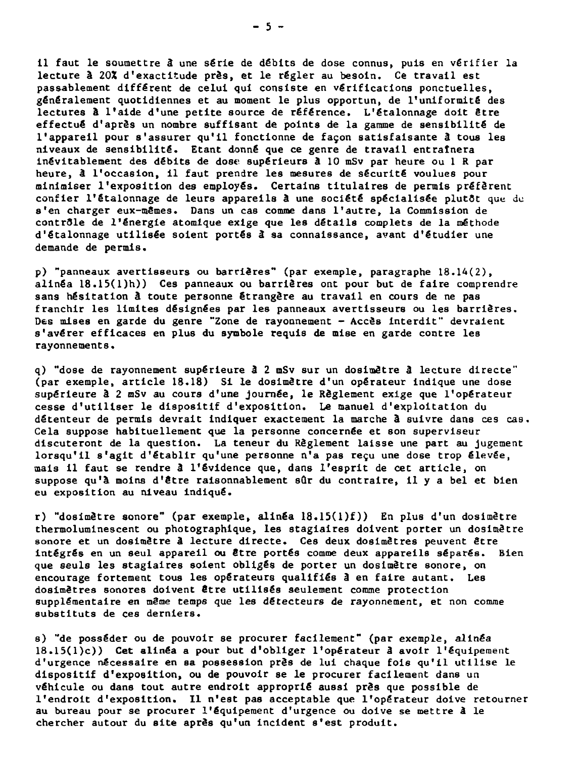**11 faut le soumettre à une série de débits de dose connus, puis en vérifier la lecture à 20X d'exactitude près, et le régler au besoin. Ce travail est passablement différent de celui qui consiste en vérifications ponctuelles, généralement quotidiennes et au moment le plus opportun, de l'uniformité des lectures à l'aide d'une petite source de référence. L'étalonnage doit Stre effectué d'après un nombre suffisant de points de la gamme de sensibilité de l'appareil pour s'assurer qu'il fonctionne de façon satisfaisante â tous les niveaux de sensibilité. Etant donné que ce genre de travail entratnera inévitablement des débits de dose supérieurs à 10 mSv par heure ou 1 R par heure, à l'occasion, il faut prendre les mesures de sécurité voulues pour minimiser l'exposition des employés. Certains titulaires de permis préfèrent confier l'étalonnage de leurs appareils à une société spécialisée plutôt que de s'en charger eux-mêmes. Dans un cas comme dans l'autre, la Commission de contr81e de l'énergie atomique exige que les détails complets de la méthode d'étalonnage utilisée soient portés â sa connaissance, avant d'étudier une demande de permis.**

**p) "panneaux avertisseurs ou barrières" (par exemple, paragraphe 18.14(2), alinéa 18.15(l)h)) Ces panneaux ou barrières ont pour but de faire comprendre sans hésitation â toute personne étrangère au travail en cours de ne pas franchir les limites désignées par les panneaux avertisseurs ou les barrières. Des mises en garde du genre "Zone de rayonnement - Accès interdit" devraient s'avérer efficaces en plus du symbole requis de mise en garde contre les rayonnements.**

**q) "dose de rayonnement supérieure â 2 mSv sur un doslmètre à lecture directe" (par exemple, article 18.18) Si le dosimètre d'un opérateur indique une dose supérieure à 2 oSv au cours d'une journée, le Règlement exige que l'opérateur cesse d'utiliser le dispositif d'exposition. Le manuel d'exploitation du détenteur de permis devrait indiquer exactement la marche à suivre dans ces cas. Cela suppose habituellement que la personne concernée et son superviseur discuteront de la question. La teneur du Règlement laisse une part au jugement** lorsqu'il s'agit d'établir qu'une personne n'a pas reçu une dose trop élevée, **mais il faut se rendre â l'évidence que, dans l'esprit de cet article, on suppose qu'a moins d'être raisonnablement sûr du contraire, i l y a bel et bien eu exposition au niveau indiqué.**

**r) "dosimètre sonore" (par exemple, alinéa 18.15(l)f)) En plus d'un dosimètre thermoluminescent ou photographique, les stagiaires doivent porter un dosimètre sonore et un dosimètre â lecture directe. Ces deux dosimêtres peuvent être intégrés en un seul appareil ou Stre portés comme deux appareils séparés. Bien que seuls les stagiaires soient obligés de porter un dosimètre sonore, on encourage fortement tous les opérateurs qualifiés â en faire autant. Les dosimêtres sonores doivent être utilisés seulement comme protection supplémentaire en même temps que les détecteurs de rayonnement, et non comme substituts de ces derniers.**

**s) "de posséder ou de pouvoir se procurer facilement" (par exemple, alinéa 18.15(l)c)) Cet alinéa a pour but d'obliger l'opérateur â avoir l'équipement d'urgence nécessaire en sa possession près de lui chaque fols qu'il utilise le dispositif d'exposition, ou de pouvoir se le procurer facilement dans un véhicule ou dans tout autre endroit approprié aussi près que possible de l'endroit d'exposition. Il n'est pas acceptable que l'opérateur doive retourner au bureau pour se procurer l'équipement d'urgence ou doive se mettre â le chercher autour du site après qu'un incident s'est produit.**